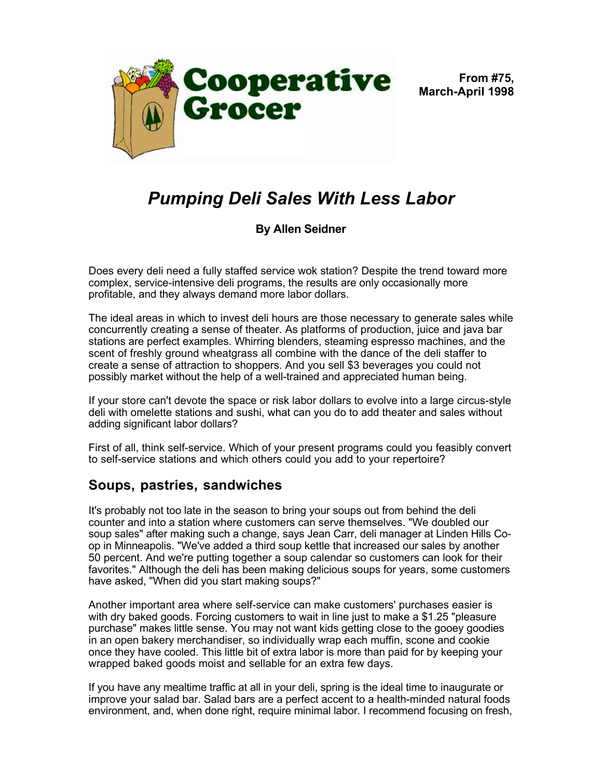

**From #75, March-April 1998**

## *Pumping Deli Sales With Less Labor*

## **By Allen Seidner**

Does every deli need a fully staffed service wok station? Despite the trend toward more complex, service-intensive deli programs, the results are only occasionally more profitable, and they always demand more labor dollars.

The ideal areas in which to invest deli hours are those necessary to generate sales while concurrently creating a sense of theater. As platforms of production, juice and java bar stations are perfect examples. Whirring blenders, steaming espresso machines, and the scent of freshly ground wheatgrass all combine with the dance of the deli staffer to create a sense of attraction to shoppers. And you sell \$3 beverages you could not possibly market without the help of a well-trained and appreciated human being.

If your store can't devote the space or risk labor dollars to evolve into a large circus-style deli with omelette stations and sushi, what can you do to add theater and sales without adding significant labor dollars?

First of all, think self-service. Which of your present programs could you feasibly convert to self-service stations and which others could you add to your repertoire?

## **Soups, pastries, sandwiches**

It's probably not too late in the season to bring your soups out from behind the deli counter and into a station where customers can serve themselves. "We doubled our soup sales" after making such a change, says Jean Carr, deli manager at Linden Hills Coop in Minneapolis. "We've added a third soup kettle that increased our sales by another 50 percent. And we're putting together a soup calendar so customers can look for their favorites." Although the deli has been making delicious soups for years, some customers have asked, "When did you start making soups?"

Another important area where self-service can make customers' purchases easier is with dry baked goods. Forcing customers to wait in line just to make a \$1.25 "pleasure purchase" makes little sense. You may not want kids getting close to the gooey goodies in an open bakery merchandiser, so individually wrap each muffin, scone and cookie once they have cooled. This little bit of extra labor is more than paid for by keeping your wrapped baked goods moist and sellable for an extra few days.

If you have any mealtime traffic at all in your deli, spring is the ideal time to inaugurate or improve your salad bar. Salad bars are a perfect accent to a health-minded natural foods environment, and, when done right, require minimal labor. I recommend focusing on fresh,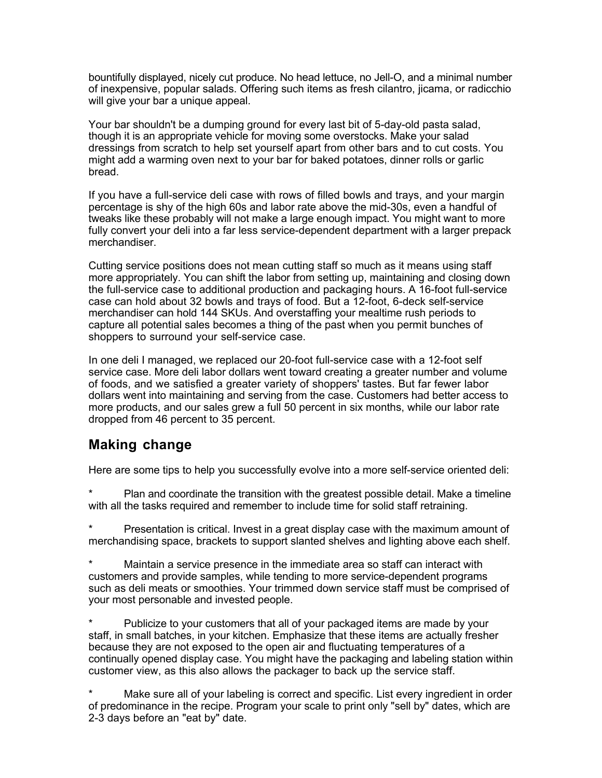bountifully displayed, nicely cut produce. No head lettuce, no Jell-O, and a minimal number of inexpensive, popular salads. Offering such items as fresh cilantro, jicama, or radicchio will give your bar a unique appeal.

Your bar shouldn't be a dumping ground for every last bit of 5-day-old pasta salad, though it is an appropriate vehicle for moving some overstocks. Make your salad dressings from scratch to help set yourself apart from other bars and to cut costs. You might add a warming oven next to your bar for baked potatoes, dinner rolls or garlic bread.

If you have a full-service deli case with rows of filled bowls and trays, and your margin percentage is shy of the high 60s and labor rate above the mid-30s, even a handful of tweaks like these probably will not make a large enough impact. You might want to more fully convert your deli into a far less service-dependent department with a larger prepack merchandiser.

Cutting service positions does not mean cutting staff so much as it means using staff more appropriately. You can shift the labor from setting up, maintaining and closing down the full-service case to additional production and packaging hours. A 16-foot full-service case can hold about 32 bowls and trays of food. But a 12-foot, 6-deck self-service merchandiser can hold 144 SKUs. And overstaffing your mealtime rush periods to capture all potential sales becomes a thing of the past when you permit bunches of shoppers to surround your self-service case.

In one deli I managed, we replaced our 20-foot full-service case with a 12-foot self service case. More deli labor dollars went toward creating a greater number and volume of foods, and we satisfied a greater variety of shoppers' tastes. But far fewer labor dollars went into maintaining and serving from the case. Customers had better access to more products, and our sales grew a full 50 percent in six months, while our labor rate dropped from 46 percent to 35 percent.

## **Making change**

Here are some tips to help you successfully evolve into a more self-service oriented deli:

Plan and coordinate the transition with the greatest possible detail. Make a timeline with all the tasks required and remember to include time for solid staff retraining.

Presentation is critical. Invest in a great display case with the maximum amount of merchandising space, brackets to support slanted shelves and lighting above each shelf.

\* Maintain a service presence in the immediate area so staff can interact with customers and provide samples, while tending to more service-dependent programs such as deli meats or smoothies. Your trimmed down service staff must be comprised of your most personable and invested people.

Publicize to your customers that all of your packaged items are made by your staff, in small batches, in your kitchen. Emphasize that these items are actually fresher because they are not exposed to the open air and fluctuating temperatures of a continually opened display case. You might have the packaging and labeling station within customer view, as this also allows the packager to back up the service staff.

Make sure all of your labeling is correct and specific. List every ingredient in order of predominance in the recipe. Program your scale to print only "sell by" dates, which are 2-3 days before an "eat by" date.